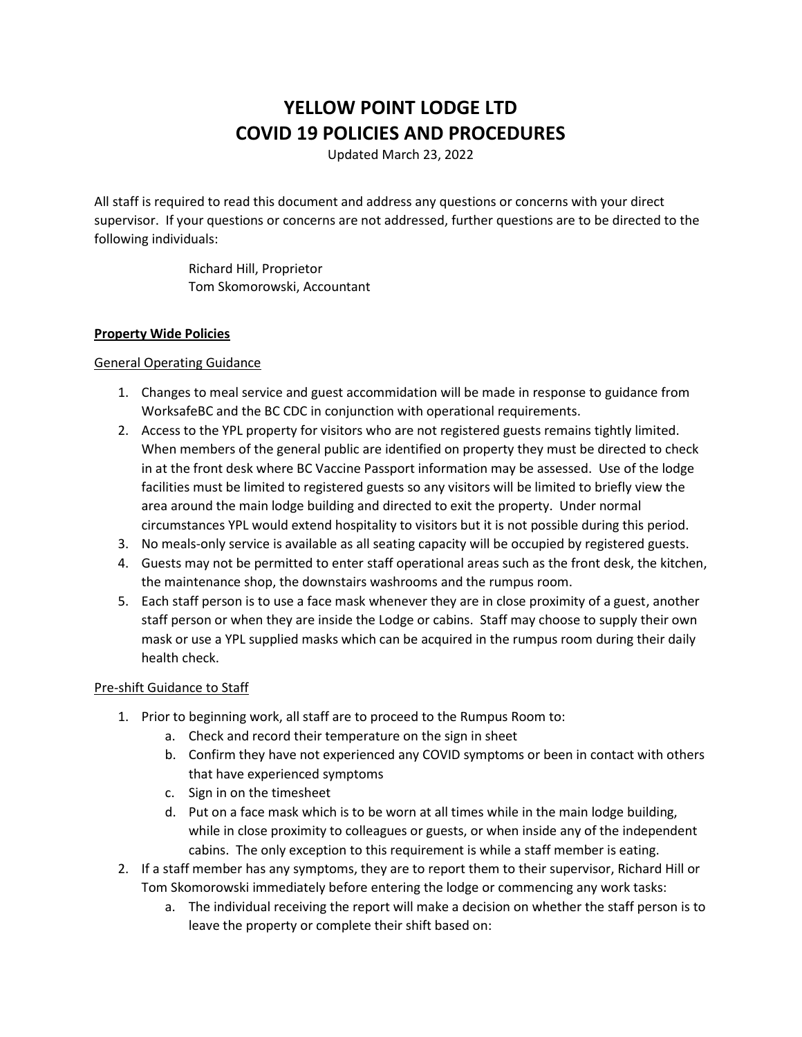# **YELLOW POINT LODGE LTD COVID 19 POLICIES AND PROCEDURES**

Updated March 23, 2022

All staff is required to read this document and address any questions or concerns with your direct supervisor. If your questions or concerns are not addressed, further questions are to be directed to the following individuals:

> Richard Hill, Proprietor Tom Skomorowski, Accountant

## **Property Wide Policies**

## General Operating Guidance

- 1. Changes to meal service and guest accommidation will be made in response to guidance from WorksafeBC and the BC CDC in conjunction with operational requirements.
- 2. Access to the YPL property for visitors who are not registered guests remains tightly limited. When members of the general public are identified on property they must be directed to check in at the front desk where BC Vaccine Passport information may be assessed. Use of the lodge facilities must be limited to registered guests so any visitors will be limited to briefly view the area around the main lodge building and directed to exit the property. Under normal circumstances YPL would extend hospitality to visitors but it is not possible during this period.
- 3. No meals-only service is available as all seating capacity will be occupied by registered guests.
- 4. Guests may not be permitted to enter staff operational areas such as the front desk, the kitchen, the maintenance shop, the downstairs washrooms and the rumpus room.
- 5. Each staff person is to use a face mask whenever they are in close proximity of a guest, another staff person or when they are inside the Lodge or cabins. Staff may choose to supply their own mask or use a YPL supplied masks which can be acquired in the rumpus room during their daily health check.

# Pre-shift Guidance to Staff

- 1. Prior to beginning work, all staff are to proceed to the Rumpus Room to:
	- a. Check and record their temperature on the sign in sheet
	- b. Confirm they have not experienced any COVID symptoms or been in contact with others that have experienced symptoms
	- c. Sign in on the timesheet
	- d. Put on a face mask which is to be worn at all times while in the main lodge building, while in close proximity to colleagues or guests, or when inside any of the independent cabins. The only exception to this requirement is while a staff member is eating.
- 2. If a staff member has any symptoms, they are to report them to their supervisor, Richard Hill or Tom Skomorowski immediately before entering the lodge or commencing any work tasks:
	- a. The individual receiving the report will make a decision on whether the staff person is to leave the property or complete their shift based on: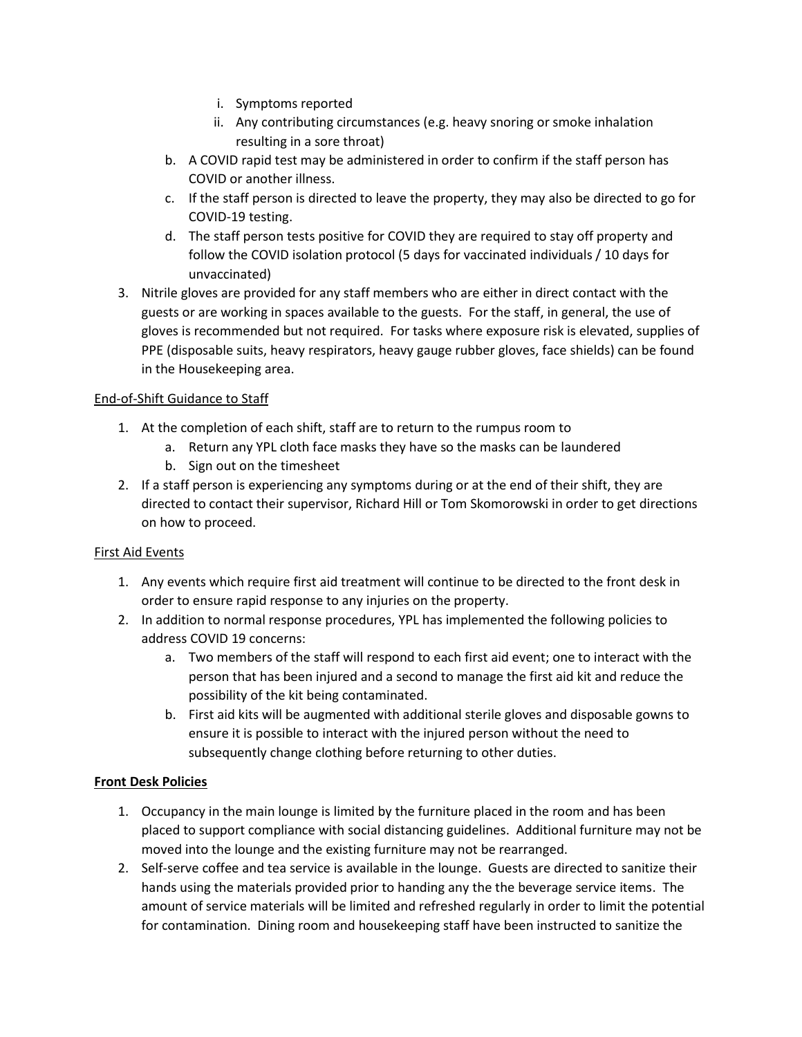- i. Symptoms reported
- ii. Any contributing circumstances (e.g. heavy snoring or smoke inhalation resulting in a sore throat)
- b. A COVID rapid test may be administered in order to confirm if the staff person has COVID or another illness.
- c. If the staff person is directed to leave the property, they may also be directed to go for COVID-19 testing.
- d. The staff person tests positive for COVID they are required to stay off property and follow the COVID isolation protocol (5 days for vaccinated individuals / 10 days for unvaccinated)
- 3. Nitrile gloves are provided for any staff members who are either in direct contact with the guests or are working in spaces available to the guests. For the staff, in general, the use of gloves is recommended but not required. For tasks where exposure risk is elevated, supplies of PPE (disposable suits, heavy respirators, heavy gauge rubber gloves, face shields) can be found in the Housekeeping area.

# End-of-Shift Guidance to Staff

- 1. At the completion of each shift, staff are to return to the rumpus room to
	- a. Return any YPL cloth face masks they have so the masks can be laundered
	- b. Sign out on the timesheet
- 2. If a staff person is experiencing any symptoms during or at the end of their shift, they are directed to contact their supervisor, Richard Hill or Tom Skomorowski in order to get directions on how to proceed.

# First Aid Events

- 1. Any events which require first aid treatment will continue to be directed to the front desk in order to ensure rapid response to any injuries on the property.
- 2. In addition to normal response procedures, YPL has implemented the following policies to address COVID 19 concerns:
	- a. Two members of the staff will respond to each first aid event; one to interact with the person that has been injured and a second to manage the first aid kit and reduce the possibility of the kit being contaminated.
	- b. First aid kits will be augmented with additional sterile gloves and disposable gowns to ensure it is possible to interact with the injured person without the need to subsequently change clothing before returning to other duties.

# **Front Desk Policies**

- 1. Occupancy in the main lounge is limited by the furniture placed in the room and has been placed to support compliance with social distancing guidelines. Additional furniture may not be moved into the lounge and the existing furniture may not be rearranged.
- 2. Self-serve coffee and tea service is available in the lounge. Guests are directed to sanitize their hands using the materials provided prior to handing any the the beverage service items. The amount of service materials will be limited and refreshed regularly in order to limit the potential for contamination. Dining room and housekeeping staff have been instructed to sanitize the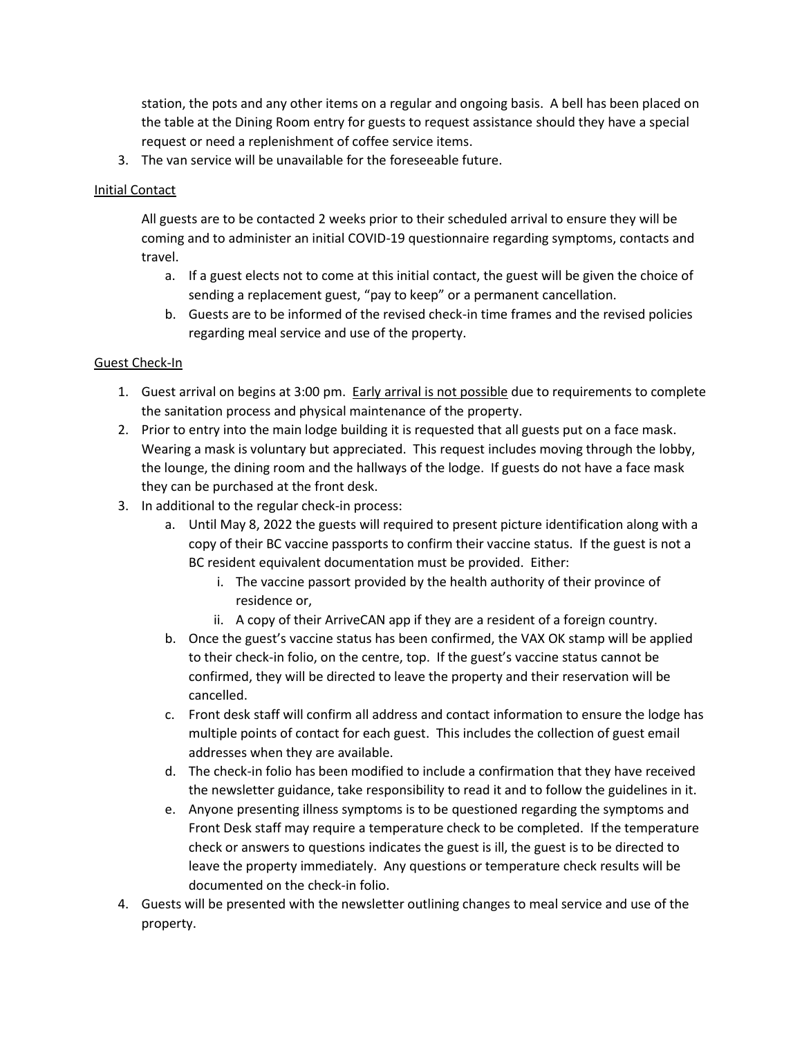station, the pots and any other items on a regular and ongoing basis. A bell has been placed on the table at the Dining Room entry for guests to request assistance should they have a special request or need a replenishment of coffee service items.

3. The van service will be unavailable for the foreseeable future.

## Initial Contact

All guests are to be contacted 2 weeks prior to their scheduled arrival to ensure they will be coming and to administer an initial COVID-19 questionnaire regarding symptoms, contacts and travel.

- a. If a guest elects not to come at this initial contact, the guest will be given the choice of sending a replacement guest, "pay to keep" or a permanent cancellation.
- b. Guests are to be informed of the revised check-in time frames and the revised policies regarding meal service and use of the property.

## Guest Check-In

- 1. Guest arrival on begins at 3:00 pm. Early arrival is not possible due to requirements to complete the sanitation process and physical maintenance of the property.
- 2. Prior to entry into the main lodge building it is requested that all guests put on a face mask. Wearing a mask is voluntary but appreciated. This request includes moving through the lobby, the lounge, the dining room and the hallways of the lodge. If guests do not have a face mask they can be purchased at the front desk.
- 3. In additional to the regular check-in process:
	- a. Until May 8, 2022 the guests will required to present picture identification along with a copy of their BC vaccine passports to confirm their vaccine status. If the guest is not a BC resident equivalent documentation must be provided. Either:
		- i. The vaccine passort provided by the health authority of their province of residence or,
		- ii. A copy of their ArriveCAN app if they are a resident of a foreign country.
	- b. Once the guest's vaccine status has been confirmed, the VAX OK stamp will be applied to their check-in folio, on the centre, top. If the guest's vaccine status cannot be confirmed, they will be directed to leave the property and their reservation will be cancelled.
	- c. Front desk staff will confirm all address and contact information to ensure the lodge has multiple points of contact for each guest. This includes the collection of guest email addresses when they are available.
	- d. The check-in folio has been modified to include a confirmation that they have received the newsletter guidance, take responsibility to read it and to follow the guidelines in it.
	- e. Anyone presenting illness symptoms is to be questioned regarding the symptoms and Front Desk staff may require a temperature check to be completed. If the temperature check or answers to questions indicates the guest is ill, the guest is to be directed to leave the property immediately. Any questions or temperature check results will be documented on the check-in folio.
- 4. Guests will be presented with the newsletter outlining changes to meal service and use of the property.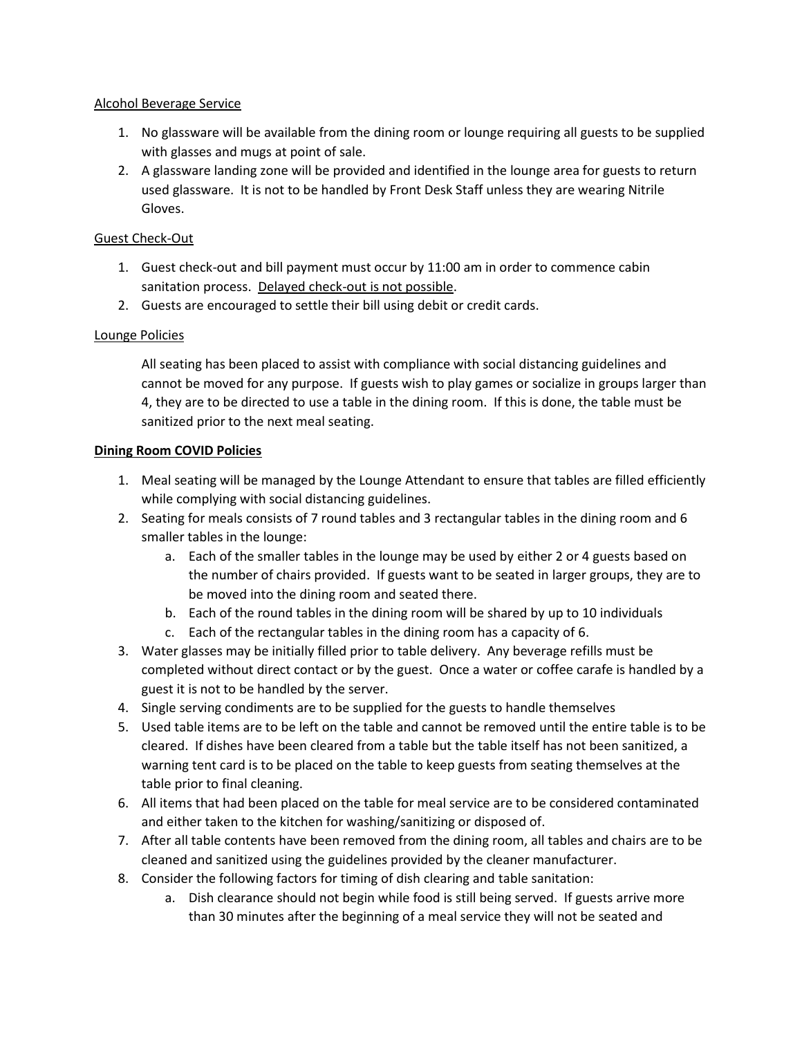## Alcohol Beverage Service

- 1. No glassware will be available from the dining room or lounge requiring all guests to be supplied with glasses and mugs at point of sale.
- 2. A glassware landing zone will be provided and identified in the lounge area for guests to return used glassware. It is not to be handled by Front Desk Staff unless they are wearing Nitrile Gloves.

# Guest Check-Out

- 1. Guest check-out and bill payment must occur by 11:00 am in order to commence cabin sanitation process. Delayed check-out is not possible.
- 2. Guests are encouraged to settle their bill using debit or credit cards.

# Lounge Policies

All seating has been placed to assist with compliance with social distancing guidelines and cannot be moved for any purpose. If guests wish to play games or socialize in groups larger than 4, they are to be directed to use a table in the dining room. If this is done, the table must be sanitized prior to the next meal seating.

# **Dining Room COVID Policies**

- 1. Meal seating will be managed by the Lounge Attendant to ensure that tables are filled efficiently while complying with social distancing guidelines.
- 2. Seating for meals consists of 7 round tables and 3 rectangular tables in the dining room and 6 smaller tables in the lounge:
	- a. Each of the smaller tables in the lounge may be used by either 2 or 4 guests based on the number of chairs provided. If guests want to be seated in larger groups, they are to be moved into the dining room and seated there.
	- b. Each of the round tables in the dining room will be shared by up to 10 individuals
	- c. Each of the rectangular tables in the dining room has a capacity of 6.
- 3. Water glasses may be initially filled prior to table delivery. Any beverage refills must be completed without direct contact or by the guest. Once a water or coffee carafe is handled by a guest it is not to be handled by the server.
- 4. Single serving condiments are to be supplied for the guests to handle themselves
- 5. Used table items are to be left on the table and cannot be removed until the entire table is to be cleared. If dishes have been cleared from a table but the table itself has not been sanitized, a warning tent card is to be placed on the table to keep guests from seating themselves at the table prior to final cleaning.
- 6. All items that had been placed on the table for meal service are to be considered contaminated and either taken to the kitchen for washing/sanitizing or disposed of.
- 7. After all table contents have been removed from the dining room, all tables and chairs are to be cleaned and sanitized using the guidelines provided by the cleaner manufacturer.
- 8. Consider the following factors for timing of dish clearing and table sanitation:
	- a. Dish clearance should not begin while food is still being served. If guests arrive more than 30 minutes after the beginning of a meal service they will not be seated and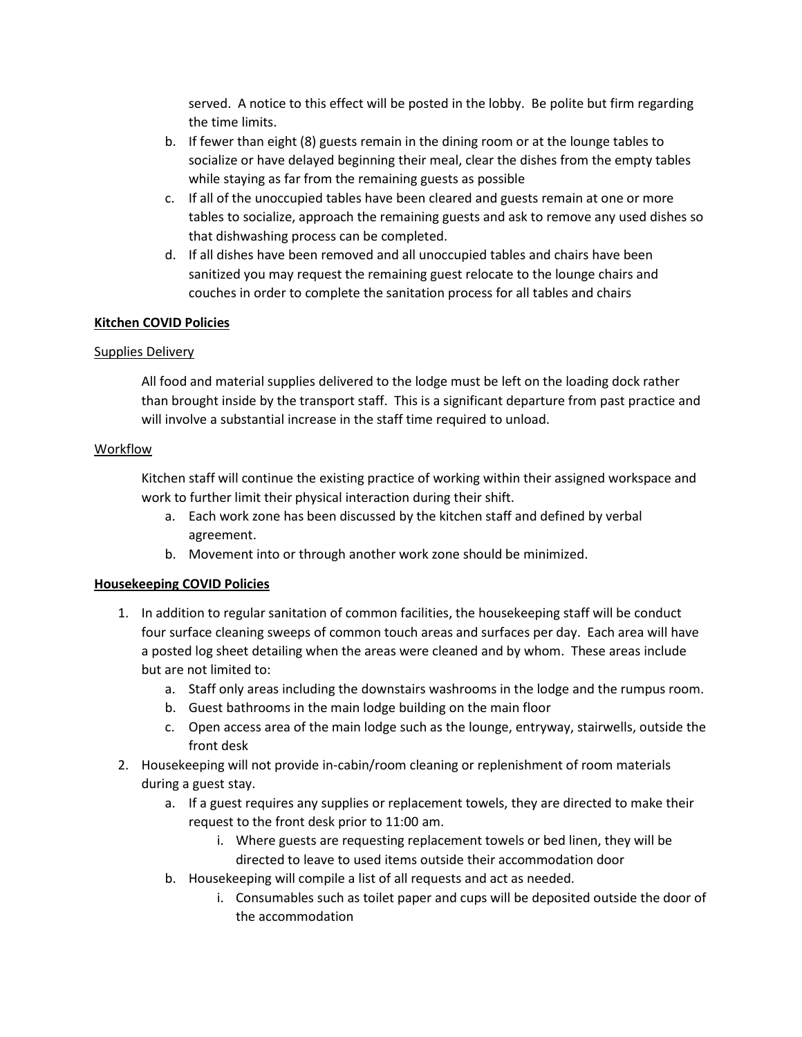served. A notice to this effect will be posted in the lobby. Be polite but firm regarding the time limits.

- b. If fewer than eight (8) guests remain in the dining room or at the lounge tables to socialize or have delayed beginning their meal, clear the dishes from the empty tables while staying as far from the remaining guests as possible
- c. If all of the unoccupied tables have been cleared and guests remain at one or more tables to socialize, approach the remaining guests and ask to remove any used dishes so that dishwashing process can be completed.
- d. If all dishes have been removed and all unoccupied tables and chairs have been sanitized you may request the remaining guest relocate to the lounge chairs and couches in order to complete the sanitation process for all tables and chairs

## **Kitchen COVID Policies**

## Supplies Delivery

All food and material supplies delivered to the lodge must be left on the loading dock rather than brought inside by the transport staff. This is a significant departure from past practice and will involve a substantial increase in the staff time required to unload.

## Workflow

Kitchen staff will continue the existing practice of working within their assigned workspace and work to further limit their physical interaction during their shift.

- a. Each work zone has been discussed by the kitchen staff and defined by verbal agreement.
- b. Movement into or through another work zone should be minimized.

# **Housekeeping COVID Policies**

- 1. In addition to regular sanitation of common facilities, the housekeeping staff will be conduct four surface cleaning sweeps of common touch areas and surfaces per day. Each area will have a posted log sheet detailing when the areas were cleaned and by whom. These areas include but are not limited to:
	- a. Staff only areas including the downstairs washrooms in the lodge and the rumpus room.
	- b. Guest bathrooms in the main lodge building on the main floor
	- c. Open access area of the main lodge such as the lounge, entryway, stairwells, outside the front desk
- 2. Housekeeping will not provide in-cabin/room cleaning or replenishment of room materials during a guest stay.
	- a. If a guest requires any supplies or replacement towels, they are directed to make their request to the front desk prior to 11:00 am.
		- i. Where guests are requesting replacement towels or bed linen, they will be directed to leave to used items outside their accommodation door
	- b. Housekeeping will compile a list of all requests and act as needed.
		- i. Consumables such as toilet paper and cups will be deposited outside the door of the accommodation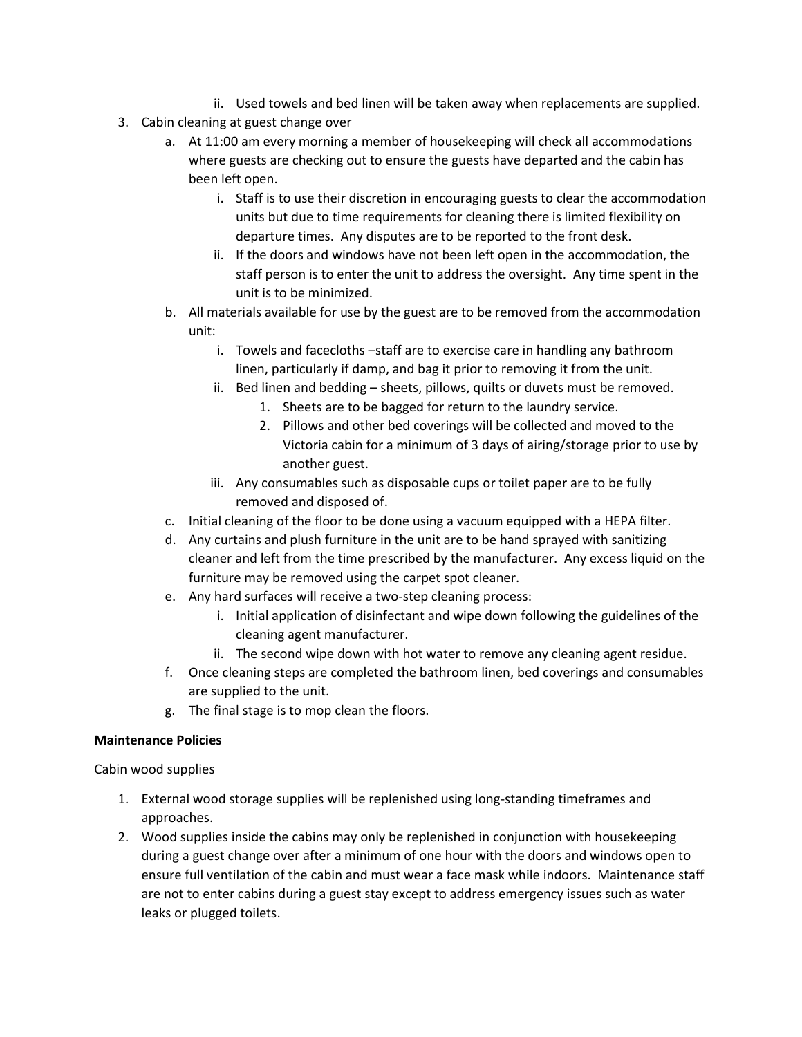- ii. Used towels and bed linen will be taken away when replacements are supplied.
- 3. Cabin cleaning at guest change over
	- a. At 11:00 am every morning a member of housekeeping will check all accommodations where guests are checking out to ensure the guests have departed and the cabin has been left open.
		- i. Staff is to use their discretion in encouraging guests to clear the accommodation units but due to time requirements for cleaning there is limited flexibility on departure times. Any disputes are to be reported to the front desk.
		- ii. If the doors and windows have not been left open in the accommodation, the staff person is to enter the unit to address the oversight. Any time spent in the unit is to be minimized.
	- b. All materials available for use by the guest are to be removed from the accommodation unit:
		- i. Towels and facecloths -staff are to exercise care in handling any bathroom linen, particularly if damp, and bag it prior to removing it from the unit.
		- ii. Bed linen and bedding sheets, pillows, quilts or duvets must be removed.
			- 1. Sheets are to be bagged for return to the laundry service.
			- 2. Pillows and other bed coverings will be collected and moved to the Victoria cabin for a minimum of 3 days of airing/storage prior to use by another guest.
		- iii. Any consumables such as disposable cups or toilet paper are to be fully removed and disposed of.
	- c. Initial cleaning of the floor to be done using a vacuum equipped with a HEPA filter.
	- d. Any curtains and plush furniture in the unit are to be hand sprayed with sanitizing cleaner and left from the time prescribed by the manufacturer. Any excess liquid on the furniture may be removed using the carpet spot cleaner.
	- e. Any hard surfaces will receive a two-step cleaning process:
		- i. Initial application of disinfectant and wipe down following the guidelines of the cleaning agent manufacturer.
		- ii. The second wipe down with hot water to remove any cleaning agent residue.
	- f. Once cleaning steps are completed the bathroom linen, bed coverings and consumables are supplied to the unit.
	- g. The final stage is to mop clean the floors.

## **Maintenance Policies**

## Cabin wood supplies

- 1. External wood storage supplies will be replenished using long-standing timeframes and approaches.
- 2. Wood supplies inside the cabins may only be replenished in conjunction with housekeeping during a guest change over after a minimum of one hour with the doors and windows open to ensure full ventilation of the cabin and must wear a face mask while indoors. Maintenance staff are not to enter cabins during a guest stay except to address emergency issues such as water leaks or plugged toilets.